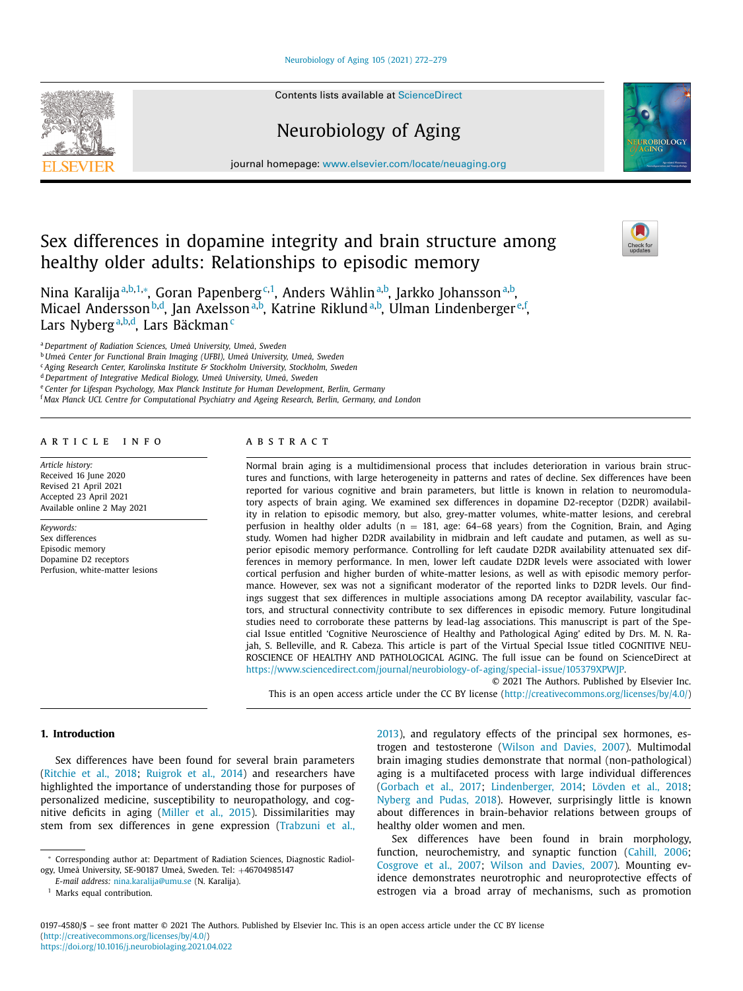# [Neurobiology](https://doi.org/10.1016/j.neurobiolaging.2021.04.022) of Aging 105 (2021) 272–279

Contents lists available at [ScienceDirect](http://www.ScienceDirect.com)

# Neurobiology of Aging

journal homepage: [www.elsevier.com/locate/neuaging.org](http://www.elsevier.com/locate/neuaging.org)

# Sex differences in dopamine integrity and brain structure among healthy older adults: Relationships to episodic memory

Nina Karalijaª<sup>,b,1,</sup>\*, Goran Papenberg<sup>c,1</sup>, Anders Wåhlin<sup>a,b</sup>, Jarkko Johanssonª<sup>,b</sup>, Micael Andersson<sup>b,d</sup>, Jan Axelsson<sup>a,b</sup>, Katrine Riklund<sup>a,b</sup>, Ulman Lindenberger<sup>e,f</sup>, Lars Nyberg<sup>a,b,d</sup>, Lars Bäckman<sup>c</sup>

<sup>a</sup> *Department of Radiation Sciences, Umeå University, Umeå, Sweden*

<sup>b</sup> *Umeå Center for Functional Brain Imaging (UFBI), Umeå University, Umeå, Sweden*

<sup>c</sup> *Aging Research Center, Karolinska Institute & Stockholm University, Stockholm, Sweden*

<sup>d</sup> *Department of Integrative Medical Biology, Umeå University, Umeå, Sweden*

<sup>e</sup> *Center for Lifespan Psychology, Max Planck Institute for Human Development, Berlin, Germany*

<sup>f</sup> *Max Planck UCL Centre for Computational Psychiatry and Ageing Research, Berlin, Germany, and London*

# a r t i c l e i n f o

*Article history:* Received 16 June 2020 Revised 21 April 2021 Accepted 23 April 2021 Available online 2 May 2021

*Keywords:* Sex differences Episodic memory Dopamine D2 receptors Perfusion, white-matter lesions

## a b s t r a c t

Normal brain aging is a multidimensional process that includes deterioration in various brain structures and functions, with large heterogeneity in patterns and rates of decline. Sex differences have been reported for various cognitive and brain parameters, but little is known in relation to neuromodulatory aspects of brain aging. We examined sex differences in dopamine D2-receptor (D2DR) availability in relation to episodic memory, but also, grey-matter volumes, white-matter lesions, and cerebral perfusion in healthy older adults ( $n = 181$ , age: 64–68 years) from the Cognition, Brain, and Aging study. Women had higher D2DR availability in midbrain and left caudate and putamen, as well as superior episodic memory performance. Controlling for left caudate D2DR availability attenuated sex differences in memory performance. In men, lower left caudate D2DR levels were associated with lower cortical perfusion and higher burden of white-matter lesions, as well as with episodic memory performance. However, sex was not a significant moderator of the reported links to D2DR levels. Our findings suggest that sex differences in multiple associations among DA receptor availability, vascular factors, and structural connectivity contribute to sex differences in episodic memory. Future longitudinal studies need to corroborate these patterns by lead-lag associations. This manuscript is part of the Special Issue entitled 'Cognitive Neuroscience of Healthy and Pathological Aging' edited by Drs. M. N. Rajah, S. Belleville, and R. Cabeza. This article is part of the Virtual Special Issue titled COGNITIVE NEU-ROSCIENCE OF HEALTHY AND PATHOLOGICAL AGING. The full issue can be found on ScienceDirect at [https://www.sciencedirect.com/journal/neurobiology-of-aging/special-issue/105379XPWJP.](https://www.sciencedirect.com/journal/neurobiology-of-aging/special-issue/105379XPWJP)

© 2021 The Authors. Published by Elsevier Inc. This is an open access article under the CC BY license [\(http://creativecommons.org/licenses/by/4.0/\)](http://creativecommons.org/licenses/by/4.0/)

# **1. Introduction**

Sex differences have been found for several brain parameters [\(Ritchie](#page-7-0) et al., 2018; [Ruigrok](#page-7-0) et al., 2014) and researchers have highlighted the importance of understanding those for purposes of personalized medicine, susceptibility to neuropathology, and cognitive deficits in aging [\(Miller](#page-7-0) et al., 2015). Dissimilarities may stem from sex differences in gene expression [\(Trabzuni](#page-7-0) et al., [2013\)](#page-7-0), and regulatory effects of the principal sex hormones, estrogen and testosterone [\(Wilson](#page-7-0) and Davies, 2007). Multimodal brain imaging studies demonstrate that normal (non-pathological) aging is a multifaceted process with large individual differences [\(Gorbach](#page-6-0) et al., 2017; [Lindenberger,](#page-7-0) 2014; [Lövden](#page-7-0) et al., 2018; [Nyberg](#page-7-0) and Pudas, 2018). However, surprisingly little is known about differences in brain-behavior relations between groups of healthy older women and men.

Sex differences have been found in brain morphology, function, neurochemistry, and synaptic function [\(Cahill,](#page-6-0) 2006; [Cosgrove](#page-6-0) et al., 2007; Wilson and [Davies,](#page-7-0) 2007). Mounting evidence demonstrates neurotrophic and neuroprotective effects of estrogen via a broad array of mechanisms, such as promotion







<sup>∗</sup> Corresponding author at: Department of Radiation Sciences, Diagnostic Radiology, Umeå University, SE-90187 Umeå, Sweden. Tel: +46704985147

*E-mail address:* [nina.karalija@umu.se](mailto:nina.karalija@umu.se) (N. Karalija).

<sup>&</sup>lt;sup>1</sup> Marks equal contribution.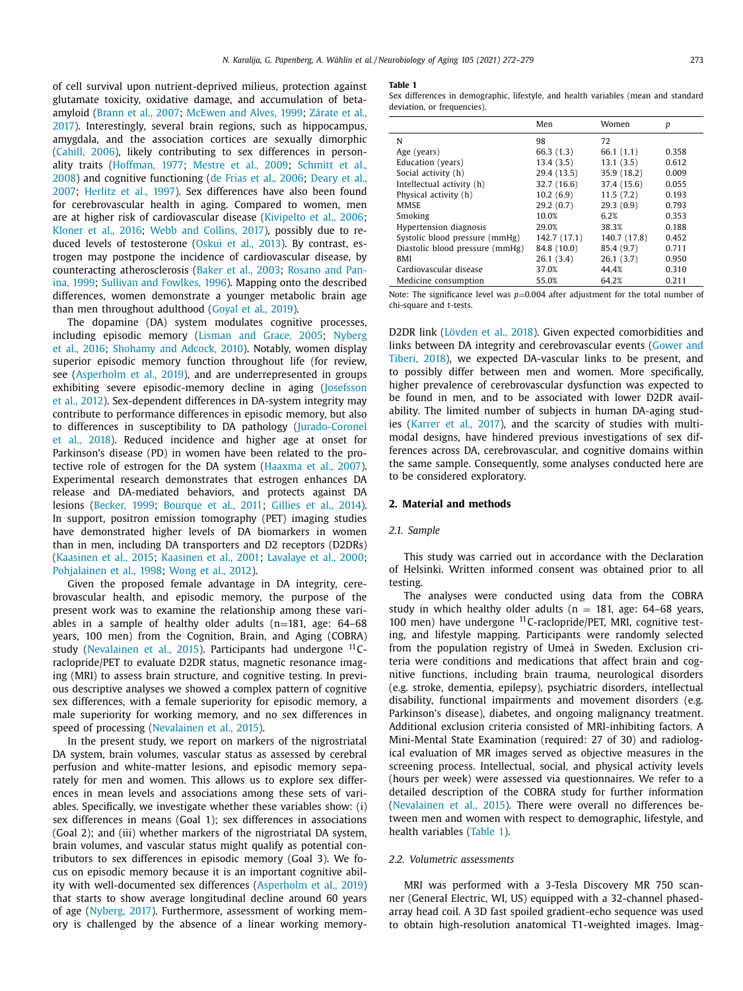<span id="page-1-0"></span>of cell survival upon nutrient-deprived milieus, protection against glutamate toxicity, oxidative damage, and accumulation of betaamyloid [\(Brann](#page-6-0) et al., 2007; [McEwen](#page-7-0) and Alves, 1999; Zárate et al., 2017). Interestingly, several brain regions, such as [hippocampus,](#page-7-0) amygdala, and the association cortices are sexually dimorphic [\(Cahill,](#page-6-0) 2006), likely contributing to sex differences in personality traits [\(Hoffman,](#page-6-0) 1977; [Mestre](#page-7-0) et al., 2009; Schmitt et al., 2008) and cognitive [functioning](#page-7-0) (de Frias et al., [2006;](#page-6-0) Deary et al., 2007; [Herlitz](#page-6-0) et al., 1997). Sex differences have also been found for cerebrovascular health in aging. Compared to women, men are at higher risk of cardiovascular disease [\(Kivipelto](#page-6-0) et al., 2006; [Kloner](#page-6-0) et al., 2016; Webb and [Collins,](#page-7-0) 2017), possibly due to reduced levels of testosterone [\(Oskui](#page-7-0) et al., 2013). By contrast, estrogen may postpone the incidence of cardiovascular disease, by counteracting [atherosclerosis](#page-7-0) [\(Baker](#page-6-0) et al., 2003; Rosano and Panina, 1999; Sullivan and [Fowlkes,](#page-7-0) 1996). Mapping onto the described differences, women demonstrate a younger metabolic brain age than men throughout adulthood [\(Goyal](#page-6-0) et al., 2019).

The dopamine (DA) system modulates cognitive processes, [including](#page-7-0) episodic memory [\(Lisman](#page-7-0) and Grace, 2005; Nyberg et al., 2016; [Shohamy](#page-7-0) and Adcock, 2010). Notably, women display superior episodic memory function throughout life (for review, see [\(Asperholm](#page-6-0) et al., 2019), and are underrepresented in groups exhibiting severe [episodic-memory](#page-6-0) decline in aging (Josefsson et al., 2012). Sex-dependent differences in DA-system integrity may contribute to performance differences in episodic memory, but also to differences in susceptibility to DA pathology [\(Jurado-Coronel](#page-6-0) et al., 2018). Reduced incidence and higher age at onset for Parkinson's disease (PD) in women have been related to the protective role of estrogen for the DA system [\(Haaxma](#page-6-0) et al., 2007). Experimental research demonstrates that estrogen enhances DA release and DA-mediated behaviors, and protects against DA lesions [\(Becker,](#page-6-0) 1999; [Bourque](#page-6-0) et al., 2011; [Gillies](#page-6-0) et al., 2014). In support, positron emission tomography (PET) imaging studies have demonstrated higher levels of DA biomarkers in women than in men, including DA transporters and D2 receptors (D2DRs) [\(Kaasinen](#page-6-0) et al., 2015; [Kaasinen](#page-6-0) et al., 2001; [Lavalaye](#page-7-0) et al., 2000; [Pohjalainen](#page-7-0) et al., 1998; [Wong](#page-7-0) et al., 2012).

Given the proposed female advantage in DA integrity, cerebrovascular health, and episodic memory, the purpose of the present work was to examine the relationship among these variables in a sample of healthy older adults  $(n=181, 100)$  age: 64–68 years, 100 men) from the Cognition, Brain, and Aging (COBRA) study [\(Nevalainen](#page-7-0) et al., 2015). Participants had undergone  $^{11}$ Craclopride/PET to evaluate D2DR status, magnetic resonance imaging (MRI) to assess brain structure, and cognitive testing. In previous descriptive analyses we showed a complex pattern of cognitive sex differences, with a female superiority for episodic memory, a male superiority for working memory, and no sex differences in speed of processing [\(Nevalainen](#page-7-0) et al., 2015).

In the present study, we report on markers of the nigrostriatal DA system, brain volumes, vascular status as assessed by cerebral perfusion and white-matter lesions, and episodic memory separately for men and women. This allows us to explore sex differences in mean levels and associations among these sets of variables. Specifically, we investigate whether these variables show: (i) sex differences in means (Goal 1); sex differences in associations (Goal 2); and (iii) whether markers of the nigrostriatal DA system, brain volumes, and vascular status might qualify as potential contributors to sex differences in episodic memory (Goal 3). We focus on episodic memory because it is an important cognitive ability with well-documented sex differences [\(Asperholm](#page-6-0) et al., 2019) that starts to show average longitudinal decline around 60 years of age [\(Nyberg,](#page-7-0) 2017). Furthermore, assessment of working memory is challenged by the absence of a linear working memory-

#### **Table 1**

Sex differences in demographic, lifestyle, and health variables (mean and standard deviation, or frequencies).

|                                 | Men          | Women        | p     |
|---------------------------------|--------------|--------------|-------|
| N                               | 98           | 72           |       |
| Age (years)                     | 66.3(1.3)    | 66.1(1.1)    | 0.358 |
| Education (years)               | 13.4(3.5)    | 13.1(3.5)    | 0.612 |
| Social activity (h)             | 29.4 (13.5)  | 35.9 (18.2)  | 0.009 |
| Intellectual activity (h)       | 32.7 (16.6)  | 37.4 (15.6)  | 0.055 |
| Physical activity (h)           | 10.2(6.9)    | 11.5(7.2)    | 0.193 |
| <b>MMSE</b>                     | 29.2(0.7)    | 29.3(0.9)    | 0.793 |
| Smoking                         | 10.0%        | 6.2%         | 0.353 |
| Hypertension diagnosis          | 29.0%        | 38.3%        | 0.188 |
| Systolic blood pressure (mmHg)  | 142.7 (17.1) | 140.7 (17.8) | 0.452 |
| Diastolic blood pressure (mmHg) | 84.8 (10.0)  | 85.4 (9.7)   | 0.711 |
| <b>BMI</b>                      | 26.1(3.4)    | 26.1(3.7)    | 0.950 |
| Cardiovascular disease          | 37.0%        | 44.4%        | 0.310 |
| Medicine consumption            | 55.0%        | 64.2%        | 0.211 |

Note: The significance level was  $p=0.004$  after adjustment for the total number of chi-square and t-tests.

D2DR link [\(Lövden](#page-7-0) et al., 2018). Given expected comorbidities and links between DA integrity and [cerebrovascular](#page-6-0) events (Gower and Tiberi, 2018), we expected DA-vascular links to be present, and to possibly differ between men and women. More specifically, higher prevalence of cerebrovascular dysfunction was expected to be found in men, and to be associated with lower D2DR availability. The limited number of subjects in human DA-aging studies [\(Karrer](#page-6-0) et al., 2017), and the scarcity of studies with multimodal designs, have hindered previous investigations of sex differences across DA, cerebrovascular, and cognitive domains within the same sample. Consequently, some analyses conducted here are to be considered exploratory.

#### **2. Material and methods**

#### *2.1. Sample*

This study was carried out in accordance with the Declaration of Helsinki. Written informed consent was obtained prior to all testing.

The analyses were conducted using data from the COBRA study in which healthy older adults ( $n = 181$ , age: 64–68 years, 100 men) have undergone  $^{11}$ C-raclopride/PET, MRI, cognitive testing, and lifestyle mapping. Participants were randomly selected from the population registry of Umeå in Sweden. Exclusion criteria were conditions and medications that affect brain and cognitive functions, including brain trauma, neurological disorders (e.g. stroke, dementia, epilepsy), psychiatric disorders, intellectual disability, functional impairments and movement disorders (e.g. Parkinson's disease), diabetes, and ongoing malignancy treatment. Additional exclusion criteria consisted of MRI-inhibiting factors. A Mini-Mental State Examination (required: 27 of 30) and radiological evaluation of MR images served as objective measures in the screening process. Intellectual, social, and physical activity levels (hours per week) were assessed via questionnaires. We refer to a detailed description of the COBRA study for further information [\(Nevalainen](#page-7-0) et al., 2015). There were overall no differences between men and women with respect to demographic, lifestyle, and health variables (Table 1).

### *2.2. Volumetric assessments*

MRI was performed with a 3-Tesla Discovery MR 750 scanner (General Electric, WI, US) equipped with a 32-channel phasedarray head coil. A 3D fast spoiled gradient-echo sequence was used to obtain high-resolution anatomical T1-weighted images. Imag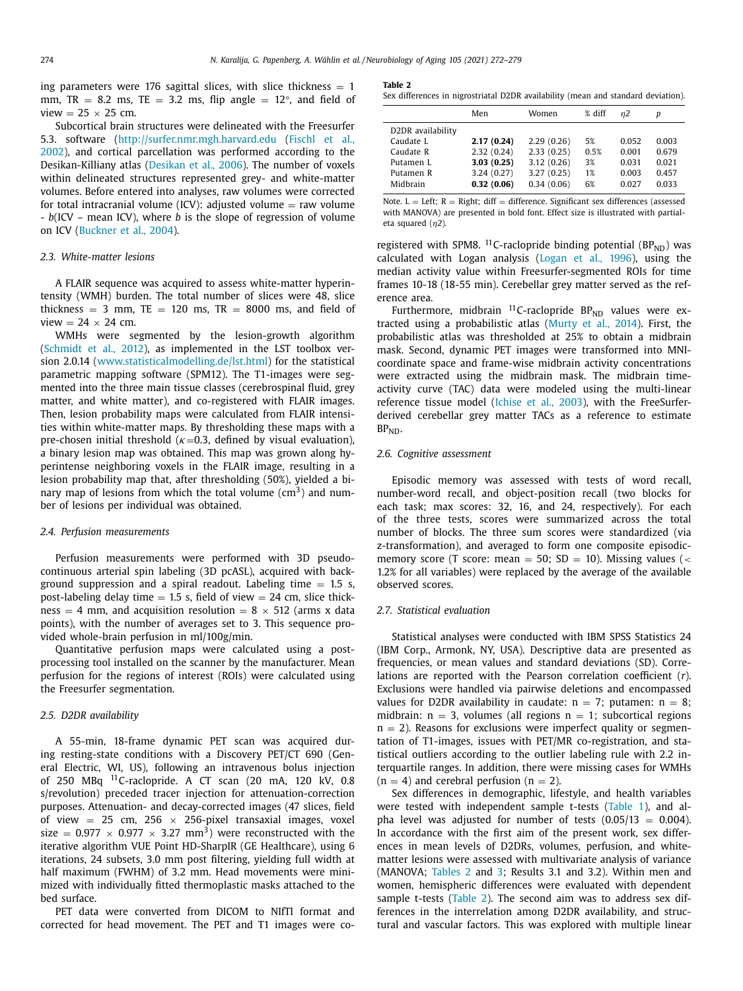<span id="page-2-0"></span>ing parameters were 176 sagittal slices, with slice thickness  $= 1$ mm,  $TR = 8.2$  ms,  $TE = 3.2$  ms, flip angle  $= 12^{\circ}$ , and field of view  $= 25 \times 25$  cm.

Subcortical brain structures were delineated with the Freesurfer 5.3. software [\(http://surfer.nmr.mgh.harvard.edu](#page-6-0) (Fischl et al., 2002), and cortical parcellation was performed according to the Desikan-Killiany atlas [\(Desikan](#page-6-0) et al., 2006). The number of voxels within delineated structures represented grey- and white-matter volumes. Before entered into analyses, raw volumes were corrected for total intracranial volume (ICV): adjusted volume  $=$  raw volume - *b*(ICV – mean ICV), where *b* is the slope of regression of volume on ICV [\(Buckner](#page-6-0) et al., 2004).

#### *2.3. White-matter lesions*

A FLAIR sequence was acquired to assess white-matter hyperintensity (WMH) burden. The total number of slices were 48, slice thickness = 3 mm, TE = 120 ms, TR = 8000 ms, and field of view  $= 24 \times 24$  cm.

WMHs were segmented by the lesion-growth algorithm [\(Schmidt](#page-7-0) et al., 2012), as implemented in the LST toolbox version 2.0.14 [\(www.statisticalmodelling.de/lst.html\)](http://www.statisticalmodelling.de/lst.html) for the statistical parametric mapping software (SPM12). The T1-images were segmented into the three main tissue classes (cerebrospinal fluid, grey matter, and white matter), and co-registered with FLAIR images. Then, lesion probability maps were calculated from FLAIR intensities within white-matter maps. By thresholding these maps with a pre-chosen initial threshold ( $\kappa$ =0.3, defined by visual evaluation), a binary lesion map was obtained. This map was grown along hyperintense neighboring voxels in the FLAIR image, resulting in a lesion probability map that, after thresholding (50%), yielded a binary map of lesions from which the total volume  $\rm (cm^3)$  and number of lesions per individual was obtained.

#### *2.4. Perfusion measurements*

Perfusion measurements were performed with 3D pseudocontinuous arterial spin labeling (3D pcASL), acquired with background suppression and a spiral readout. Labeling time  $= 1.5$  s, post-labeling delay time  $= 1.5$  s, field of view  $= 24$  cm, slice thickness = 4 mm, and acquisition resolution =  $8 \times 512$  (arms x data points), with the number of averages set to 3. This sequence provided whole-brain perfusion in ml/100g/min.

Quantitative perfusion maps were calculated using a postprocessing tool installed on the scanner by the manufacturer. Mean perfusion for the regions of interest (ROIs) were calculated using the Freesurfer segmentation.

## *2.5. D2DR availability*

A 55-min, 18-frame dynamic PET scan was acquired during resting-state conditions with a Discovery PET/CT 690 (General Electric, WI, US), following an intravenous bolus injection of 250 MBq 11C-raclopride. A CT scan (20 mA, 120 kV, 0.8 s/revolution) preceded tracer injection for attenuation-correction purposes. Attenuation- and decay-corrected images (47 slices, field of view = 25 cm, 256  $\times$  256-pixel transaxial images, voxel size =  $0.977 \times 0.977 \times 3.27$  mm<sup>3</sup>) were reconstructed with the iterative algorithm VUE Point HD-SharpIR (GE Healthcare), using 6 iterations, 24 subsets, 3.0 mm post filtering, yielding full width at half maximum (FWHM) of 3.2 mm. Head movements were minimized with individually fitted thermoplastic masks attached to the bed surface.

PET data were converted from DICOM to NIfTI format and corrected for head movement. The PET and T1 images were co-

#### **Table 2**

Sex differences in nigrostriatal D2DR availability (mean and standard deviation).

| Men        | Women      | $%$ diff | п2    | p     |
|------------|------------|----------|-------|-------|
|            |            |          |       |       |
| 2.17(0.24) | 2.29(0.26) | 5%       | 0.052 | 0.003 |
| 2.32(0.24) | 2.33(0.25) | 0.5%     | 0.001 | 0.679 |
| 3.03(0.25) | 3.12(0.26) | 3%       | 0.031 | 0.021 |
| 3.24(0.27) | 3.27(0.25) | 1%       | 0.003 | 0.457 |
| 0.32(0.06) | 0.34(0.06) | 6%       | 0.027 | 0.033 |
|            |            |          |       |       |

Note.  $L = Left; R = Right; diff = difference. Significant sex differences (assessed$ with MANOVA) are presented in bold font. Effect size is illustrated with partialeta squared (η*2*)*.*

registered with SPM8.  $^{11}$ C-raclopride binding potential (BP<sub>ND</sub>) was calculated with Logan analysis [\(Logan](#page-7-0) et al., 1996), using the median activity value within Freesurfer-segmented ROIs for time frames 10-18 (18-55 min). Cerebellar grey matter served as the reference area.

Furthermore, midbrain  $^{11}$ C-raclopride BP<sub>ND</sub> values were extracted using a probabilistic atlas [\(Murty](#page-7-0) et al., 2014). First, the probabilistic atlas was thresholded at 25% to obtain a midbrain mask. Second, dynamic PET images were transformed into MNIcoordinate space and frame-wise midbrain activity concentrations were extracted using the midbrain mask. The midbrain timeactivity curve (TAC) data were modeled using the multi-linear reference tissue model [\(Ichise](#page-6-0) et al., 2003), with the FreeSurferderived cerebellar grey matter TACs as a reference to estimate  $BP<sub>ND</sub>$ .

## *2.6. Cognitive assessment*

Episodic memory was assessed with tests of word recall, number-word recall, and object-position recall (two blocks for each task; max scores: 32, 16, and 24, respectively). For each of the three tests, scores were summarized across the total number of blocks. The three sum scores were standardized (via z-transformation), and averaged to form one composite episodicmemory score (T score: mean = 50;  $SD = 10$ ). Missing values (< 1.2% for all variables) were replaced by the average of the available observed scores.

#### *2.7. Statistical evaluation*

Statistical analyses were conducted with IBM SPSS Statistics 24 (IBM Corp., Armonk, NY, USA). Descriptive data are presented as frequencies, or mean values and standard deviations (SD). Correlations are reported with the Pearson correlation coefficient (*r*). Exclusions were handled via pairwise deletions and encompassed values for D2DR availability in caudate:  $n = 7$ ; putamen:  $n = 8$ ; midbrain:  $n = 3$ , volumes (all regions  $n = 1$ ; subcortical regions  $n = 2$ ). Reasons for exclusions were imperfect quality or segmentation of T1-images, issues with PET/MR co-registration, and statistical outliers according to the outlier labeling rule with 2.2 interquartile ranges. In addition, there were missing cases for WMHs  $(n = 4)$  and cerebral perfusion  $(n = 2)$ .

Sex differences in demographic, lifestyle, and health variables were tested with independent sample t-tests [\(Table](#page-1-0) 1), and alpha level was adjusted for number of tests  $(0.05/13 = 0.004)$ . In accordance with the first aim of the present work, sex differences in mean levels of D2DRs, volumes, perfusion, and whitematter lesions were assessed with multivariate analysis of variance (MANOVA; Tables 2 and [3;](#page-3-0) Results 3.1 and 3.2). Within men and women, hemispheric differences were evaluated with dependent sample t-tests (Table 2). The second aim was to address sex differences in the interrelation among D2DR availability, and structural and vascular factors. This was explored with multiple linear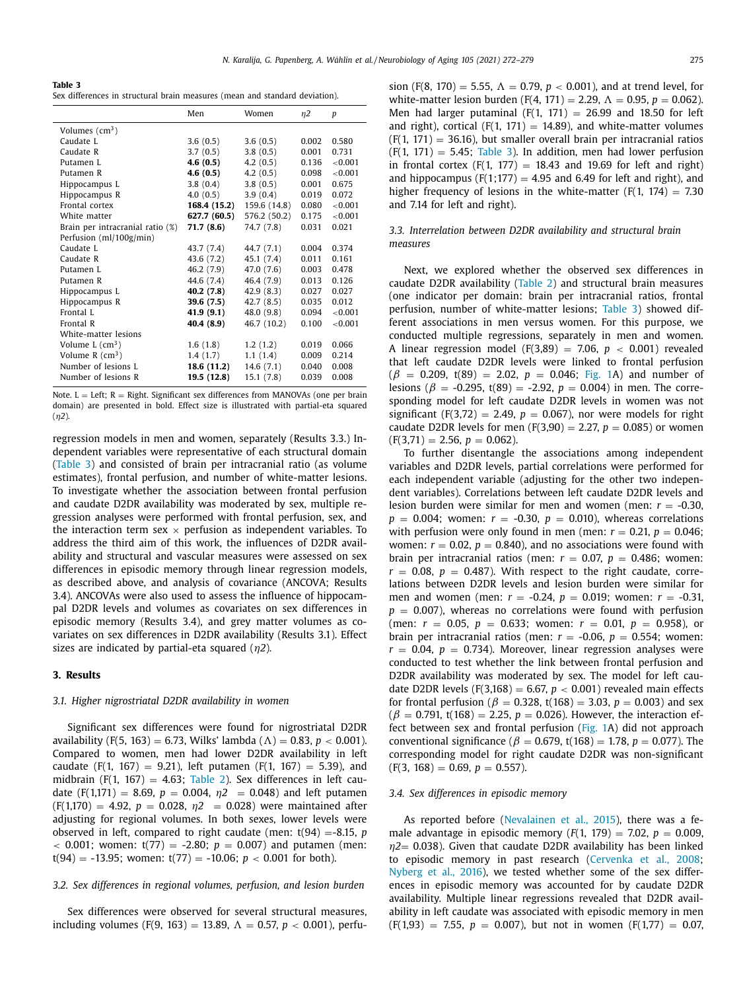<span id="page-3-0"></span>**Table 3** Sex differences in structural brain measures (mean and standard deviation).

|                                  | Men          | Women        | n2    | p       |
|----------------------------------|--------------|--------------|-------|---------|
| Volumes $(cm3)$                  |              |              |       |         |
| Caudate L                        | 3.6(0.5)     | 3.6(0.5)     | 0.002 | 0.580   |
| Caudate R                        | 3.7(0.5)     | 3.8(0.5)     | 0.001 | 0.731   |
| Putamen L                        | 4.6(0.5)     | 4.2(0.5)     | 0.136 | < 0.001 |
| Putamen R                        | 4.6(0.5)     | 4.2(0.5)     | 0.098 | < 0.001 |
| Hippocampus L                    | 3.8(0.4)     | 3.8(0.5)     | 0.001 | 0.675   |
| Hippocampus R                    | 4.0(0.5)     | 3.9(0.4)     | 0.019 | 0.072   |
| Frontal cortex                   | 168.4 (15.2) | 159.6 (14.8) | 0.080 | < 0.001 |
| White matter                     | 627.7 (60.5) | 576.2 (50.2) | 0.175 | < 0.001 |
| Brain per intracranial ratio (%) | 71.7(8.6)    | 74.7 (7.8)   | 0.031 | 0.021   |
| Perfusion (ml/100g/min)          |              |              |       |         |
| Caudate L                        | 43.7 (7.4)   | 44.7 (7.1)   | 0.004 | 0.374   |
| Caudate R                        | 43.6 (7.2)   | 45.1 (7.4)   | 0.011 | 0.161   |
| Putamen L                        | 46.2 (7.9)   | 47.0 (7.6)   | 0.003 | 0.478   |
| Putamen R                        | 44.6 (7.4)   | 46.4 (7.9)   | 0.013 | 0.126   |
| Hippocampus L                    | 40.2(7.8)    | 42.9(8.3)    | 0.027 | 0.027   |
| Hippocampus R                    | 39.6(7.5)    | 42.7(8.5)    | 0.035 | 0.012   |
| Frontal L                        | 41.9(9.1)    | 48.0 (9.8)   | 0.094 | < 0.001 |
| Frontal R                        | 40.4 (8.9)   | 46.7 (10.2)  | 0.100 | < 0.001 |
| White-matter lesions             |              |              |       |         |
| Volume $L$ (cm <sup>3</sup> )    | 1.6(1.8)     | 1.2(1.2)     | 0.019 | 0.066   |
| Volume $R$ (cm <sup>3</sup> )    | 1.4(1.7)     | 1.1(1.4)     | 0.009 | 0.214   |
| Number of lesions L              | 18.6 (11.2)  | 14.6 (7.1)   | 0.040 | 0.008   |
| Number of lesions R              | 19.5 (12.8)  | 15.1(7.8)    | 0.039 | 0.008   |

Note.  $L = Left$ ;  $R = Right$ . Significant sex differences from MANOVAs (one per brain domain) are presented in bold. Effect size is illustrated with partial-eta squared (η*2*)*.*

regression models in men and women, separately (Results 3.3.) Independent variables were representative of each structural domain (Table 3) and consisted of brain per intracranial ratio (as volume estimates), frontal perfusion, and number of white-matter lesions. To investigate whether the association between frontal perfusion and caudate D2DR availability was moderated by sex, multiple regression analyses were performed with frontal perfusion, sex, and the interaction term sex  $\times$  perfusion as independent variables. To address the third aim of this work, the influences of D2DR availability and structural and vascular measures were assessed on sex differences in episodic memory through linear regression models, as described above, and analysis of covariance (ANCOVA; Results 3.4). ANCOVAs were also used to assess the influence of hippocampal D2DR levels and volumes as covariates on sex differences in episodic memory (Results 3.4), and grey matter volumes as covariates on sex differences in D2DR availability (Results 3.1). Effect sizes are indicated by partial-eta squared (η*2*)*.*

## **3. Results**

## *3.1. Higher nigrostriatal D2DR availability in women*

Significant sex differences were found for nigrostriatal D2DR availability (F(5, 163) = 6.73, Wilks' lambda ( $\Lambda$ ) = 0.83, *p* < 0.001). Compared to women, men had lower D2DR availability in left caudate (F(1, 167) = 9.21), left putamen (F(1, 167) = 5.39), and midbrain (F(1, 167) = 4.63; [Table](#page-2-0) 2). Sex differences in left caudate  $(F(1,171) = 8.69, p = 0.004, \eta2 = 0.048)$  and left putamen  $(F(1,170) = 4.92, p = 0.028, \eta^2 = 0.028)$  were maintained after adjusting for regional volumes. In both sexes, lower levels were observed in left, compared to right caudate (men:  $t(94) = -8.15$ , *p*  $<$  0.001; women: t(77) = -2.80;  $p = 0.007$ ) and putamen (men:  $t(94) = -13.95$ ; women:  $t(77) = -10.06$ ;  $p < 0.001$  for both).

# *3.2. Sex differences in regional volumes, perfusion, and lesion burden*

Sex differences were observed for several structural measures, including volumes (F(9, 163) = 13.89,  $\Lambda = 0.57$ ,  $p < 0.001$ ), perfusion (F(8, 170) = 5.55,  $\Lambda = 0.79$ ,  $p < 0.001$ ), and at trend level, for white-matter lesion burden (F(4, 171) = 2.29,  $\Lambda = 0.95$ ,  $p = 0.062$ ). Men had larger putaminal (F(1, 171) = 26.99 and 18.50 for left and right), cortical ( $F(1, 171) = 14.89$ ), and white-matter volumes  $(F(1, 171) = 36.16)$ , but smaller overall brain per intracranial ratios  $(F(1, 171) = 5.45;$  Table 3). In addition, men had lower perfusion in frontal cortex  $(F(1, 177) = 18.43$  and 19.69 for left and right) and hippocampus (F(1;177) = 4.95 and 6.49 for left and right), and higher frequency of lesions in the white-matter (F(1, 174) = 7.30 and 7.14 for left and right).

## *3.3. Interrelation between D2DR availability and structural brain measures*

Next, we explored whether the observed sex differences in caudate D2DR availability [\(Table](#page-2-0) 2) and structural brain measures (one indicator per domain: brain per intracranial ratios, frontal perfusion, number of white-matter lesions; Table 3) showed different associations in men versus women. For this purpose, we conducted multiple regressions, separately in men and women. A linear regression model  $(F(3,89) = 7.06, p < 0.001)$  revealed that left caudate D2DR levels were linked to frontal perfusion  $(\beta = 0.209, t(89) = 2.02, p = 0.046;$  [Fig.](#page-4-0) 1A) and number of lesions ( $\beta$  = -0.295, t(89) = -2.92,  $p = 0.004$ ) in men. The corresponding model for left caudate D2DR levels in women was not significant (F(3,72) = 2.49,  $p = 0.067$ ), nor were models for right caudate D2DR levels for men (F(3,90) = 2.27,  $p = 0.085$ ) or women  $(F(3,71) = 2.56, p = 0.062).$ 

To further disentangle the associations among independent variables and D2DR levels, partial correlations were performed for each independent variable (adjusting for the other two independent variables). Correlations between left caudate D2DR levels and lesion burden were similar for men and women (men: *r* = -0.30,  $p = 0.004$ ; women:  $r = -0.30$ ,  $p = 0.010$ ), whereas correlations with perfusion were only found in men (men:  $r = 0.21$ ,  $p = 0.046$ ; women:  $r = 0.02$ ,  $p = 0.840$ ), and no associations were found with brain per intracranial ratios (men:  $r = 0.07$ ,  $p = 0.486$ ; women:  $r = 0.08$ ,  $p = 0.487$ ). With respect to the right caudate, correlations between D2DR levels and lesion burden were similar for men and women (men: *r* = -0.24, *p* = 0.019; women: *r* = -0.31,  $p = 0.007$ ), whereas no correlations were found with perfusion (men:  $r = 0.05$ ,  $p = 0.633$ ; women:  $r = 0.01$ ,  $p = 0.958$ ), or brain per intracranial ratios (men:  $r = -0.06$ ,  $p = 0.554$ ; women:  $r = 0.04$ ,  $p = 0.734$ ). Moreover, linear regression analyses were conducted to test whether the link between frontal perfusion and D2DR availability was moderated by sex. The model for left caudate D2DR levels  $(F(3,168) = 6.67, p < 0.001)$  revealed main effects for frontal perfusion ( $\beta = 0.328$ , t(168) = 3.03,  $p = 0.003$ ) and sex  $(\beta = 0.791, t(168) = 2.25, p = 0.026)$ . However, the interaction effect between sex and frontal perfusion [\(Fig.](#page-4-0) 1A) did not approach conventional significance ( $β = 0.679$ , t(168) = 1.78,  $p = 0.077$ ). The corresponding model for right caudate D2DR was non-significant  $(F(3, 168) = 0.69, p = 0.557).$ 

#### *3.4. Sex differences in episodic memory*

As reported before [\(Nevalainen](#page-7-0) et al., 2015), there was a female advantage in episodic memory  $(F(1, 179) = 7.02, p = 0.009,$  $\eta$ 2= 0.038). Given that caudate D2DR availability has been linked to episodic memory in past research [\(Cervenka](#page-6-0) et al., 2008; [Nyberg](#page-7-0) et al., 2016), we tested whether some of the sex differences in episodic memory was accounted for by caudate D2DR availability. Multiple linear regressions revealed that D2DR availability in left caudate was associated with episodic memory in men  $(F(1,93) = 7.55, p = 0.007)$ , but not in women  $(F(1,77) = 0.07)$ ,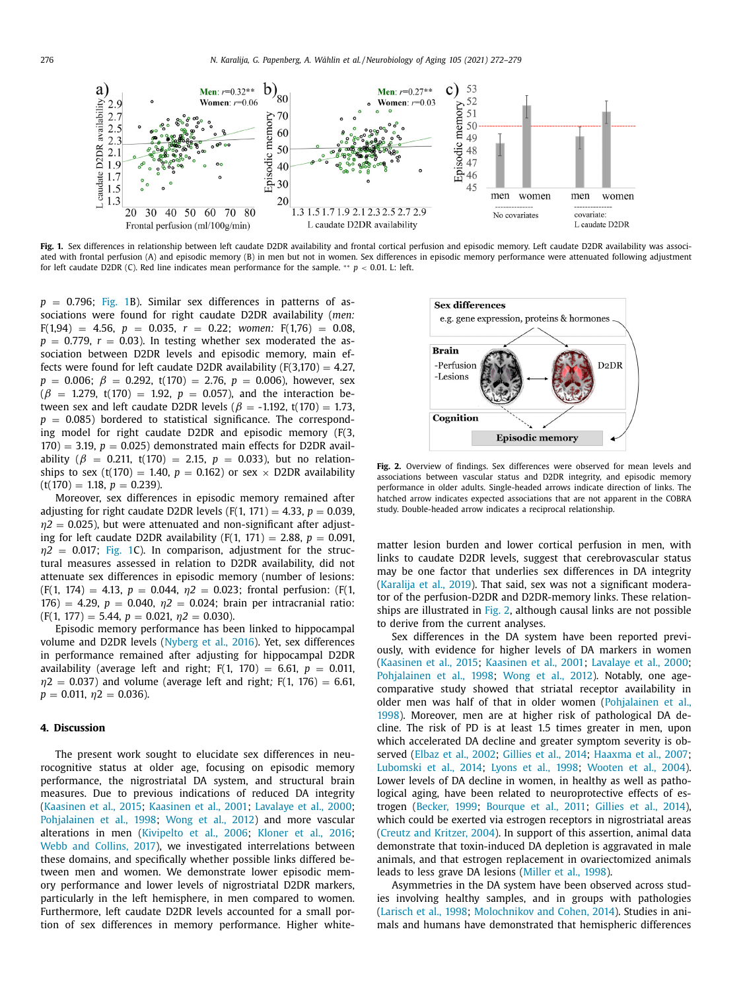<span id="page-4-0"></span>

Fig. 1. Sex differences in relationship between left caudate D2DR availability and frontal cortical perfusion and episodic memory. Left caudate D2DR availability was associated with frontal perfusion (A) and episodic memory (B) in men but not in women. Sex differences in episodic memory performance were attenuated following adjustment for left caudate D2DR (C). Red line indicates mean performance for the sample. \*\*  $p < 0.01$ . L: left.

 $p = 0.796$ ; Fig. 1B). Similar sex differences in patterns of associations were found for right caudate D2DR availability (*men:*  $F(1,94) = 4.56, p = 0.035, r = 0.22; women: F(1,76) = 0.08,$  $p = 0.779$ ,  $r = 0.03$ ). In testing whether sex moderated the association between D2DR levels and episodic memory, main effects were found for left caudate D2DR availability  $(F(3,170) = 4.27$ ,  $p = 0.006$ ;  $\beta = 0.292$ , t(170) = 2.76,  $p = 0.006$ ), however, sex  $(\beta = 1.279, t(170) = 1.92, p = 0.057)$ , and the interaction between sex and left caudate D2DR levels ( $\beta$  = -1.192, t(170) = 1.73,  $p = 0.085$ ) bordered to statistical significance. The corresponding model for right caudate D2DR and episodic memory (F(3,  $170$ ) = 3.19,  $p = 0.025$ ) demonstrated main effects for D2DR availability ( $\beta = 0.211$ , t(170) = 2.15,  $p = 0.033$ ), but no relationships to sex (t(170) = 1.40,  $p = 0.162$ ) or sex  $\times$  D2DR availability  $(t(170) = 1.18, p = 0.239).$ 

Moreover, sex differences in episodic memory remained after adjusting for right caudate D2DR levels  $(F(1, 171) = 4.33, p = 0.039,$  $\eta$ 2 = 0.025), but were attenuated and non-significant after adjusting for left caudate D2DR availability (F(1, 171) = 2.88,  $p = 0.091$ ,  $\eta$ 2 = 0.017; Fig. 1C). In comparison, adjustment for the structural measures assessed in relation to D2DR availability, did not attenuate sex differences in episodic memory (number of lesions:  $(F(1, 174) = 4.13, p = 0.044, \eta^2 = 0.023$ ; frontal perfusion:  $(F(1, 174) = 4.13, p = 0.044, \eta^2 = 0.023$ ; frontal perfusion: 176) = 4.29,  $p = 0.040$ ,  $\eta$ 2 = 0.024; brain per intracranial ratio:  $(F(1, 177) = 5.44, p = 0.021, \eta^2 = 0.030).$ 

Episodic memory performance has been linked to hippocampal volume and D2DR levels [\(Nyberg](#page-7-0) et al., 2016). Yet, sex differences in performance remained after adjusting for hippocampal D2DR availability (average left and right;  $F(1, 170) = 6.61$ ,  $p = 0.011$ ,  $\eta$ 2 = 0.037) and volume (average left and right; F(1, 176) = 6.61,  $p = 0.011, \eta_2 = 0.036$ .

# **4. Discussion**

The present work sought to elucidate sex differences in neurocognitive status at older age, focusing on episodic memory performance, the nigrostriatal DA system, and structural brain measures. Due to previous indications of reduced DA integrity [\(Kaasinen](#page-6-0) et al., 2015; [Kaasinen](#page-6-0) et al., 2001; [Lavalaye](#page-7-0) et al., 2000; [Pohjalainen](#page-7-0) et al., 1998; [Wong](#page-7-0) et al., 2012) and more vascular alterations in men [\(Kivipelto](#page-6-0) et al., 2006; [Kloner](#page-6-0) et al., 2016; Webb and [Collins,](#page-7-0) 2017), we investigated interrelations between these domains, and specifically whether possible links differed between men and women. We demonstrate lower episodic memory performance and lower levels of nigrostriatal D2DR markers, particularly in the left hemisphere, in men compared to women. Furthermore, left caudate D2DR levels accounted for a small portion of sex differences in memory performance. Higher white-



**Fig. 2.** Overview of findings. Sex differences were observed for mean levels and associations between vascular status and D2DR integrity, and episodic memory performance in older adults. Single-headed arrows indicate direction of links. The hatched arrow indicates expected associations that are not apparent in the COBRA study. Double-headed arrow indicates a reciprocal relationship.

matter lesion burden and lower cortical perfusion in men, with links to caudate D2DR levels, suggest that cerebrovascular status may be one factor that underlies sex differences in DA integrity [\(Karalija](#page-6-0) et al., 2019). That said, sex was not a significant moderator of the perfusion-D2DR and D2DR-memory links. These relationships are illustrated in Fig. 2, although causal links are not possible to derive from the current analyses.

Sex differences in the DA system have been reported previously, with evidence for higher levels of DA markers in women [\(Kaasinen](#page-6-0) et al., 2015; [Kaasinen](#page-6-0) et al., 2001; [Lavalaye](#page-7-0) et al., 2000; [Pohjalainen](#page-7-0) et al., 1998; [Wong](#page-7-0) et al., 2012). Notably, one agecomparative study showed that striatal receptor availability in older men was half of that in older women [\(Pohjalainen](#page-7-0) et al., 1998). Moreover, men are at higher risk of pathological DA decline. The risk of PD is at least 1.5 times greater in men, upon which accelerated DA decline and greater symptom severity is observed [\(Elbaz](#page-6-0) et al., 2002; [Gillies](#page-6-0) et al., 2014; [Haaxma](#page-6-0) et al., 2007; [Lubomski](#page-7-0) et al., 2014; [Lyons](#page-7-0) et al., 1998; [Wooten](#page-7-0) et al., 2004). Lower levels of DA decline in women, in healthy as well as pathological aging, have been related to neuroprotective effects of estrogen [\(Becker,](#page-6-0) 1999; [Bourque](#page-6-0) et al., 2011; [Gillies](#page-6-0) et al., 2014), which could be exerted via estrogen receptors in nigrostriatal areas (Creutz and [Kritzer,](#page-6-0) 2004). In support of this assertion, animal data demonstrate that toxin-induced DA depletion is aggravated in male animals, and that estrogen replacement in ovariectomized animals leads to less grave DA lesions [\(Miller](#page-7-0) et al., 1998).

Asymmetries in the DA system have been observed across studies involving healthy samples, and in groups with pathologies [\(Larisch](#page-6-0) et al., 1998; [Molochnikov](#page-7-0) and Cohen, 2014). Studies in animals and humans have demonstrated that hemispheric differences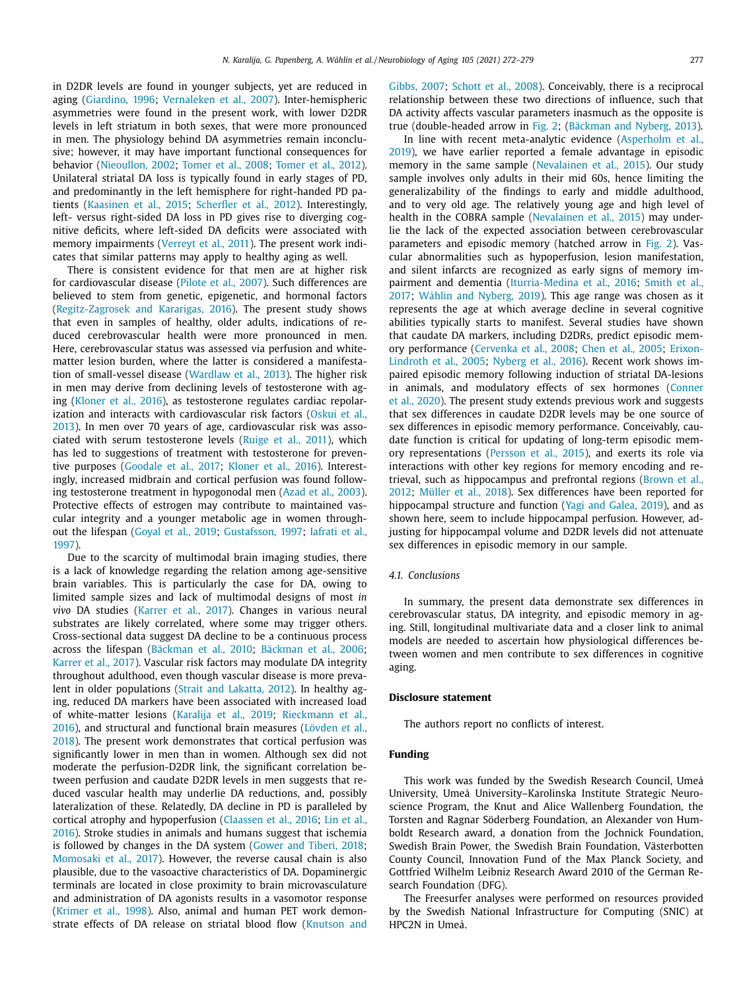in D2DR levels are found in younger subjects, yet are reduced in aging [\(Giardino,](#page-6-0) 1996; [Vernaleken](#page-7-0) et al., 2007). Inter-hemispheric asymmetries were found in the present work, with lower D2DR levels in left striatum in both sexes, that were more pronounced in men. The physiology behind DA asymmetries remain inconclusive; however, it may have important functional consequences for behavior [\(Nieoullon,](#page-7-0) 2002; [Tomer](#page-7-0) et al., 2008; [Tomer](#page-7-0) et al., 2012). Unilateral striatal DA loss is typically found in early stages of PD, and predominantly in the left hemisphere for right-handed PD patients [\(Kaasinen](#page-6-0) et al., 2015; [Scherfler](#page-7-0) et al., 2012). Interestingly, left- versus right-sided DA loss in PD gives rise to diverging cognitive deficits, where left-sided DA deficits were associated with memory impairments [\(Verreyt](#page-7-0) et al., 2011). The present work indicates that similar patterns may apply to healthy aging as well.

There is consistent evidence for that men are at higher risk for cardiovascular disease [\(Pilote](#page-7-0) et al., 2007). Such differences are believed to stem from genetic, epigenetic, and hormonal factors [\(Regitz-Zagrosek](#page-7-0) and Kararigas, 2016). The present study shows that even in samples of healthy, older adults, indications of reduced cerebrovascular health were more pronounced in men. Here, cerebrovascular status was assessed via perfusion and whitematter lesion burden, where the latter is considered a manifestation of small-vessel disease [\(Wardlaw](#page-7-0) et al., 2013). The higher risk in men may derive from declining levels of testosterone with aging [\(Kloner](#page-6-0) et al., 2016), as testosterone regulates cardiac repolarization and interacts with [cardiovascular](#page-7-0) risk factors (Oskui et al., 2013). In men over 70 years of age, cardiovascular risk was associated with serum testosterone levels [\(Ruige](#page-7-0) et al., 2011), which has led to suggestions of treatment with testosterone for preventive purposes [\(Goodale](#page-6-0) et al., 2017; [Kloner](#page-6-0) et al., 2016). Interestingly, increased midbrain and cortical perfusion was found following testosterone treatment in hypogonodal men (Azad et al., [2003\)](#page-6-0). Protective effects of estrogen may contribute to maintained vascular integrity and a younger metabolic age in women throughout the lifespan [\(Goyal](#page-6-0) et al., 2019; [Gustafsson,](#page-6-0) 1997; Iafrati et al., 1997).

Due to the scarcity of multimodal brain imaging studies, there is a lack of knowledge regarding the relation among age-sensitive brain variables. This is particularly the case for DA, owing to limited sample sizes and lack of multimodal designs of most *in vivo* DA studies [\(Karrer](#page-6-0) et al., 2017). Changes in various neural substrates are likely correlated, where some may trigger others. Cross-sectional data suggest DA decline to be a continuous process across the lifespan [\(Bäckman](#page-6-0) et al., 2010; [Bäckman](#page-6-0) et al., 2006; [Karrer](#page-6-0) et al., 2017). Vascular risk factors may modulate DA integrity throughout adulthood, even though vascular disease is more prevalent in older populations (Strait and [Lakatta,](#page-7-0) 2012). In healthy aging, reduced DA markers have been associated with increased load of [white-matter](#page-7-0) lesions [\(Karalija](#page-6-0) et al., 2019; Rieckmann et al., 2016), and structural and functional brain measures (Lövden et al., 2018). The present work [demonstrates](#page-7-0) that cortical perfusion was significantly lower in men than in women. Although sex did not moderate the perfusion-D2DR link, the significant correlation between perfusion and caudate D2DR levels in men suggests that reduced vascular health may underlie DA reductions, and, possibly lateralization of these. Relatedly, DA decline in PD is paralleled by cortical atrophy and [hypoperfusion](#page-7-0) [\(Claassen](#page-6-0) et al., 2016; Lin et al., 2016). Stroke studies in animals and humans suggest that ischemia is followed by changes in the DA system [\(Gower](#page-6-0) and Tiberi, 2018; [Momosaki](#page-7-0) et al., 2017). However, the reverse causal chain is also plausible, due to the vasoactive characteristics of DA. Dopaminergic terminals are located in close proximity to brain microvasculature and administration of DA agonists results in a vasomotor response [\(Krimer](#page-6-0) et al., 1998). Also, animal and human PET work demonstrate effects of DA release on striatal blood flow [\(Knutson](#page-6-0) and [Gibbs,](#page-6-0) 2007; [Schott](#page-7-0) et al., 2008). Conceivably, there is a reciprocal relationship between these two directions of influence, such that DA activity affects vascular parameters inasmuch as the opposite is true (double-headed arrow in [Fig.](#page-4-0) 2; [\(Bäckman](#page-6-0) and Nyberg, 2013).

In line with recent [meta-analytic](#page-6-0) evidence (Asperholm et al., 2019), we have earlier reported a female advantage in episodic memory in the same sample [\(Nevalainen](#page-7-0) et al., 2015). Our study sample involves only adults in their mid 60s, hence limiting the generalizability of the findings to early and middle adulthood, and to very old age. The relatively young age and high level of health in the COBRA sample [\(Nevalainen](#page-7-0) et al., 2015) may underlie the lack of the expected association between cerebrovascular parameters and episodic memory (hatched arrow in [Fig.](#page-4-0) 2). Vascular abnormalities such as hypoperfusion, lesion manifestation, and silent infarcts are recognized as early signs of memory impairment and dementia [\(](#page-7-0)[Iturria-Medina](#page-6-0) et al., 2016; Smith et al., 2017; Wåhlin and [Nyberg,](#page-7-0) 2019). This age range was chosen as it represents the age at which average decline in several cognitive abilities typically starts to manifest. Several studies have shown that caudate DA markers, including D2DRs, predict episodic memory [performance](#page-6-0) [\(Cervenka](#page-6-0) et al., 2008; Chen et al., [2005;](#page-6-0) Erixon-Lindroth et al., 2005; [Nyberg](#page-7-0) et al., 2016). Recent work shows impaired episodic memory following induction of striatal DA-lesions in animals, and [modulatory](#page-6-0) effects of sex hormones (Conner et al., 2020). The present study extends previous work and suggests that sex differences in caudate D2DR levels may be one source of sex differences in episodic memory performance. Conceivably, caudate function is critical for updating of long-term episodic memory representations [\(Persson](#page-7-0) et al., 2015), and exerts its role via interactions with other key regions for memory encoding and retrieval, such as [hippocampus](#page-6-0) and prefrontal regions (Brown et al., 2012; [Müller](#page-7-0) et al., 2018). Sex differences have been reported for hippocampal structure and function (Yagi and [Galea,](#page-7-0) 2019), and as shown here, seem to include hippocampal perfusion. However, adjusting for hippocampal volume and D2DR levels did not attenuate sex differences in episodic memory in our sample.

#### *4.1. Conclusions*

In summary, the present data demonstrate sex differences in cerebrovascular status, DA integrity, and episodic memory in aging. Still, longitudinal multivariate data and a closer link to animal models are needed to ascertain how physiological differences between women and men contribute to sex differences in cognitive aging.

#### **Disclosure statement**

The authors report no conflicts of interest.

## **Funding**

This work was funded by the Swedish Research Council, Umeå University, Umeå University–Karolinska Institute Strategic Neuroscience Program, the Knut and Alice Wallenberg Foundation, the Torsten and Ragnar Söderberg Foundation, an Alexander von Humboldt Research award, a donation from the Jochnick Foundation, Swedish Brain Power, the Swedish Brain Foundation, Västerbotten County Council, Innovation Fund of the Max Planck Society, and Gottfried Wilhelm Leibniz Research Award 2010 of the German Research Foundation (DFG).

The Freesurfer analyses were performed on resources provided by the Swedish National Infrastructure for Computing (SNIC) at HPC2N in Umeå.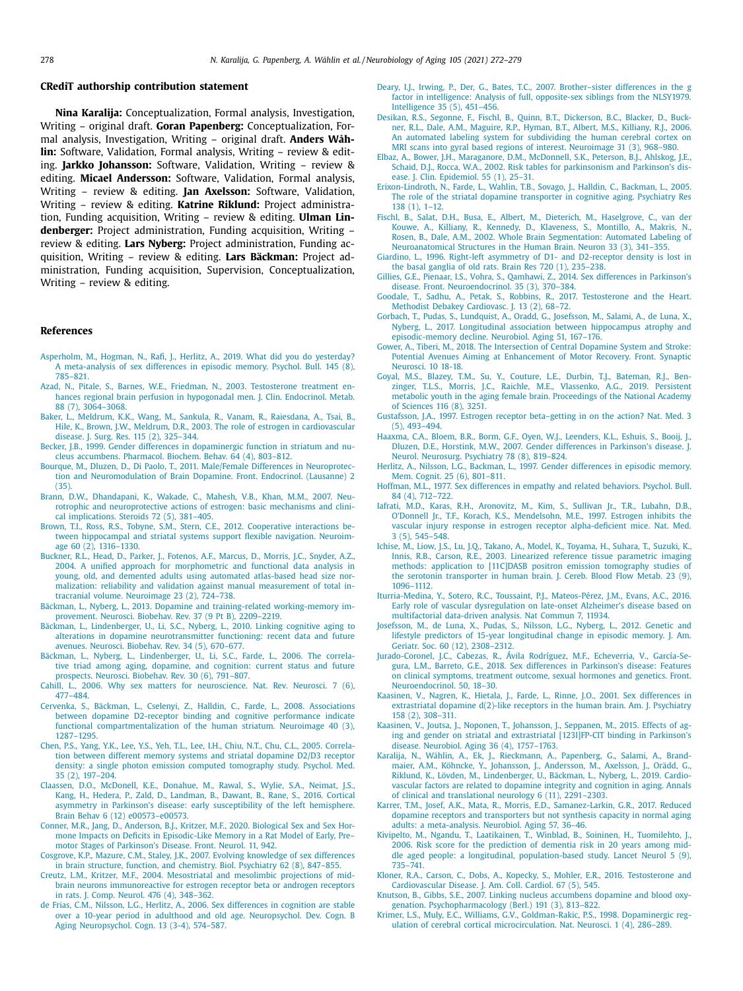## <span id="page-6-0"></span>**CRediT authorship contribution statement**

**Nina Karalija:** Conceptualization, Formal analysis, Investigation, Writing – original draft. **Goran Papenberg:** Conceptualization, Formal analysis, Investigation, Writing – original draft. **Anders Wåhlin:** Software, Validation, Formal analysis, Writing – review & editing. **Jarkko Johansson:** Software, Validation, Writing – review & editing. **Micael Andersson:** Software, Validation, Formal analysis, Writing – review & editing. **Jan Axelsson:** Software, Validation, Writing – review & editing. **Katrine Riklund:** Project administration, Funding acquisition, Writing – review & editing. **Ulman Lindenberger:** Project administration, Funding acquisition, Writing – review & editing. **Lars Nyberg:** Project administration, Funding acquisition, Writing – review & editing. **Lars Bäckman:** Project administration, Funding acquisition, Supervision, Conceptualization, Writing – review & editing.

#### **References**

- [Asperholm,](http://refhub.elsevier.com/S0197-4580(21)00145-7/sbref0001) M., [Hogman,](http://refhub.elsevier.com/S0197-4580(21)00145-7/sbref0001) N., [Rafi,](http://refhub.elsevier.com/S0197-4580(21)00145-7/sbref0001) J., [Herlitz,](http://refhub.elsevier.com/S0197-4580(21)00145-7/sbref0001) A., 2019. What did you do yesterday? A [meta-analysis](http://refhub.elsevier.com/S0197-4580(21)00145-7/sbref0001) of sex differences in episodic memory. Psychol. Bull. 145 (8), 785–821.
- [Azad,](http://refhub.elsevier.com/S0197-4580(21)00145-7/sbref0002) N., [Pitale,](http://refhub.elsevier.com/S0197-4580(21)00145-7/sbref0002) S., [Barnes,](http://refhub.elsevier.com/S0197-4580(21)00145-7/sbref0002) W.E., [Friedman,](http://refhub.elsevier.com/S0197-4580(21)00145-7/sbref0002) N., 2003. Testosterone treatment enhances regional brain perfusion in [hypogonadal](http://refhub.elsevier.com/S0197-4580(21)00145-7/sbref0002) men. J. Clin. Endocrinol. Metab. 88 (7), 3064–3068.
- [Baker,](http://refhub.elsevier.com/S0197-4580(21)00145-7/sbref0003) L., [Meldrum,](http://refhub.elsevier.com/S0197-4580(21)00145-7/sbref0003) K.K., [Wang,](http://refhub.elsevier.com/S0197-4580(21)00145-7/sbref0003) M., [Sankula,](http://refhub.elsevier.com/S0197-4580(21)00145-7/sbref0003) R., [Vanam,](http://refhub.elsevier.com/S0197-4580(21)00145-7/sbref0003) R., [Raiesdana,](http://refhub.elsevier.com/S0197-4580(21)00145-7/sbref0003) A., [Tsai,](http://refhub.elsevier.com/S0197-4580(21)00145-7/sbref0003) B., [Hile,](http://refhub.elsevier.com/S0197-4580(21)00145-7/sbref0003) K., [Brown,](http://refhub.elsevier.com/S0197-4580(21)00145-7/sbref0003) J.W., [Meldrum,](http://refhub.elsevier.com/S0197-4580(21)00145-7/sbref0003) D.R., 2003. The role of estrogen in [cardiovascular](http://refhub.elsevier.com/S0197-4580(21)00145-7/sbref0003) disease. J. Surg. Res. 115 (2), 325–344.
- [Becker,](http://refhub.elsevier.com/S0197-4580(21)00145-7/sbref0004) J.B., 1999. Gender differences in [dopaminergic](http://refhub.elsevier.com/S0197-4580(21)00145-7/sbref0004) function in striatum and nucleus accumbens. Pharmacol. Biochem. Behav. 64 (4), 803–812.
- [Bourque,](http://refhub.elsevier.com/S0197-4580(21)00145-7/sbref0005) M., [Dluzen,](http://refhub.elsevier.com/S0197-4580(21)00145-7/sbref0005) D., Di [Paolo,](http://refhub.elsevier.com/S0197-4580(21)00145-7/sbref0005) T., 2011. Male/Female Differences in Neuroprotection and [Neuromodulation](http://refhub.elsevier.com/S0197-4580(21)00145-7/sbref0005) of Brain Dopamine. Front. Endocrinol. (Lausanne) 2  $(35)$
- [Brann,](http://refhub.elsevier.com/S0197-4580(21)00145-7/sbref0006) D.W., [Dhandapani,](http://refhub.elsevier.com/S0197-4580(21)00145-7/sbref0006) K., [Wakade,](http://refhub.elsevier.com/S0197-4580(21)00145-7/sbref0006) C., [Mahesh,](http://refhub.elsevier.com/S0197-4580(21)00145-7/sbref0006) V.B., [Khan,](http://refhub.elsevier.com/S0197-4580(21)00145-7/sbref0006) M.M., 2007. Neurotrophic and [neuroprotective](http://refhub.elsevier.com/S0197-4580(21)00145-7/sbref0006) actions of estrogen: basic mechanisms and clini-
- cal implications. Steroids 72 (5), 381–405. [Brown,](http://refhub.elsevier.com/S0197-4580(21)00145-7/sbref0007) T.I., [Ross,](http://refhub.elsevier.com/S0197-4580(21)00145-7/sbref0007) R.S., [Tobyne,](http://refhub.elsevier.com/S0197-4580(21)00145-7/sbref0007) S.M., [Stern,](http://refhub.elsevier.com/S0197-4580(21)00145-7/sbref0007) C.E., 2012. Cooperative interactions between [hippocampal](http://refhub.elsevier.com/S0197-4580(21)00145-7/sbref0007) and striatal systems support flexible navigation. Neuroimage 60 (2), 1316–1330.
- [Buckner,](http://refhub.elsevier.com/S0197-4580(21)00145-7/sbref0008) R.L., [Head,](http://refhub.elsevier.com/S0197-4580(21)00145-7/sbref0008) D., [Parker,](http://refhub.elsevier.com/S0197-4580(21)00145-7/sbref0008) J., [Fotenos,](http://refhub.elsevier.com/S0197-4580(21)00145-7/sbref0008) A.F., [Marcus,](http://refhub.elsevier.com/S0197-4580(21)00145-7/sbref0008) D., [Morris,](http://refhub.elsevier.com/S0197-4580(21)00145-7/sbref0008) J.C., [Snyder,](http://refhub.elsevier.com/S0197-4580(21)00145-7/sbref0008) A.Z., 2004. A unified approach for [morphometric](http://refhub.elsevier.com/S0197-4580(21)00145-7/sbref0008) and functional data analysis in young, old, and demented adults using automated atlas-based head size normalization: reliability and validation against manual measurement of total intracranial volume. Neuroimage 23 (2), 724–738.
- [Bäckman,](http://refhub.elsevier.com/S0197-4580(21)00145-7/sbref0009) L., [Nyberg,](http://refhub.elsevier.com/S0197-4580(21)00145-7/sbref0009) L., 2013. Dopamine and training-related [working-memory](http://refhub.elsevier.com/S0197-4580(21)00145-7/sbref0009) improvement. Neurosci. Biobehav. Rev. 37 (9 Pt B), 2209–2219.
- [Bäckman,](http://refhub.elsevier.com/S0197-4580(21)00145-7/sbref0010) L., [Lindenberger,](http://refhub.elsevier.com/S0197-4580(21)00145-7/sbref0010) U., Li, [S.C.,](http://refhub.elsevier.com/S0197-4580(21)00145-7/sbref0010) [Nyberg,](http://refhub.elsevier.com/S0197-4580(21)00145-7/sbref0010) L., 2010. Linking cognitive aging to alterations in dopamine [neurotransmitter](http://refhub.elsevier.com/S0197-4580(21)00145-7/sbref0010) functioning: recent data and future avenues. Neurosci. Biobehav. Rev. 34 (5), 670–677.
- [Bäckman,](http://refhub.elsevier.com/S0197-4580(21)00145-7/sbref0011) L., [Nyberg,](http://refhub.elsevier.com/S0197-4580(21)00145-7/sbref0011) L., [Lindenberger,](http://refhub.elsevier.com/S0197-4580(21)00145-7/sbref0011) U., Li, [S.C.,](http://refhub.elsevier.com/S0197-4580(21)00145-7/sbref0011) [Farde,](http://refhub.elsevier.com/S0197-4580(21)00145-7/sbref0011) L., 2006. The correlative triad among aging, dopamine, and cognition: current status and future prospects. Neurosci. Biobehav. Rev. 30 (6), 791–807.
- [Cahill,](http://refhub.elsevier.com/S0197-4580(21)00145-7/sbref0012) L., 2006. Why sex matters for [neuroscience.](http://refhub.elsevier.com/S0197-4580(21)00145-7/sbref0012) Nat. Rev. Neurosci. 7 (6), 477–484.
- [Cervenka,](http://refhub.elsevier.com/S0197-4580(21)00145-7/sbref0013) S., [Bäckman,](http://refhub.elsevier.com/S0197-4580(21)00145-7/sbref0013) L., [Cselenyi,](http://refhub.elsevier.com/S0197-4580(21)00145-7/sbref0013) Z., [Halldin,](http://refhub.elsevier.com/S0197-4580(21)00145-7/sbref0013) C., [Farde,](http://refhub.elsevier.com/S0197-4580(21)00145-7/sbref0013) L., 2008. Associations between dopamine D2-receptor binding and cognitive performance indicate functional [compartmentalization](http://refhub.elsevier.com/S0197-4580(21)00145-7/sbref0013) of the human striatum. Neuroimage 40 (3), 1287–1295.
- [Chen,](http://refhub.elsevier.com/S0197-4580(21)00145-7/sbref0014) P.S., [Yang,](http://refhub.elsevier.com/S0197-4580(21)00145-7/sbref0014) Y.K., [Lee,](http://refhub.elsevier.com/S0197-4580(21)00145-7/sbref0014) Y.S., [Yeh,](http://refhub.elsevier.com/S0197-4580(21)00145-7/sbref0014) T.L., [Lee,](http://refhub.elsevier.com/S0197-4580(21)00145-7/sbref0014) I.H., [Chiu,](http://refhub.elsevier.com/S0197-4580(21)00145-7/sbref0014) N.T., [Chu,](http://refhub.elsevier.com/S0197-4580(21)00145-7/sbref0014) C.L., 2005. Correlation between different memory systems and striatal dopamine D2/D3 receptor density: a single photon emission computed [tomography](http://refhub.elsevier.com/S0197-4580(21)00145-7/sbref0014) study. Psychol. Med. 35 (2), 197–204.
- [Claassen,](http://refhub.elsevier.com/S0197-4580(21)00145-7/sbref0015) D.O., [McDonell,](http://refhub.elsevier.com/S0197-4580(21)00145-7/sbref0015) K.E., [Donahue,](http://refhub.elsevier.com/S0197-4580(21)00145-7/sbref0015) M., [Rawal,](http://refhub.elsevier.com/S0197-4580(21)00145-7/sbref0015) S., [Wylie,](http://refhub.elsevier.com/S0197-4580(21)00145-7/sbref0015) S.A., [Neimat,](http://refhub.elsevier.com/S0197-4580(21)00145-7/sbref0015) J.S., [Kang,](http://refhub.elsevier.com/S0197-4580(21)00145-7/sbref0015) H., [Hedera,](http://refhub.elsevier.com/S0197-4580(21)00145-7/sbref0015) P., [Zald,](http://refhub.elsevier.com/S0197-4580(21)00145-7/sbref0015) D., [Landman,](http://refhub.elsevier.com/S0197-4580(21)00145-7/sbref0015) B., [Dawant,](http://refhub.elsevier.com/S0197-4580(21)00145-7/sbref0015) B., [Rane,](http://refhub.elsevier.com/S0197-4580(21)00145-7/sbref0015) S., 2016. Cortical asymmetry in Parkinson's disease: early susceptibility of the left hemisphere. Brain Behav 6 (12) [e00573–e00573.](http://refhub.elsevier.com/S0197-4580(21)00145-7/sbref0015)
- [Conner,](http://refhub.elsevier.com/S0197-4580(21)00145-7/sbref0016) M.R., [Jang,](http://refhub.elsevier.com/S0197-4580(21)00145-7/sbref0016) D., [Anderson,](http://refhub.elsevier.com/S0197-4580(21)00145-7/sbref0016) B.J., [Kritzer,](http://refhub.elsevier.com/S0197-4580(21)00145-7/sbref0016) M.F., 2020. Biological Sex and Sex Hormone Impacts on Deficits in [Episodic-Like](http://refhub.elsevier.com/S0197-4580(21)00145-7/sbref0016) Memory in a Rat Model of Early, Pre– motor Stages of Parkinson's Disease. Front. Neurol. 11, 942.
- [Cosgrove,](http://refhub.elsevier.com/S0197-4580(21)00145-7/sbref0017) K.P., [Mazure,](http://refhub.elsevier.com/S0197-4580(21)00145-7/sbref0017) C.M., [Staley,](http://refhub.elsevier.com/S0197-4580(21)00145-7/sbref0017) J.K., 2007. Evolving knowledge of sex [differences](http://refhub.elsevier.com/S0197-4580(21)00145-7/sbref0017) in brain structure, function, and chemistry. Biol. Psychiatry 62 (8), 847–855.
- [Creutz,](http://refhub.elsevier.com/S0197-4580(21)00145-7/sbref0018) L.M., [Kritzer,](http://refhub.elsevier.com/S0197-4580(21)00145-7/sbref0018) M.F., 2004. Mesostriatal and mesolimbic projections of midbrain neurons [immunoreactive](http://refhub.elsevier.com/S0197-4580(21)00145-7/sbref0018) for estrogen receptor beta or androgen receptors in rats. J. Comp. Neurol. 476 (4), 348–362.
- de [Frias,](http://refhub.elsevier.com/S0197-4580(21)00145-7/sbref0019) C.M., [Nilsson,](http://refhub.elsevier.com/S0197-4580(21)00145-7/sbref0019) L.G., [Herlitz,](http://refhub.elsevier.com/S0197-4580(21)00145-7/sbref0019) A., 2006. Sex differences in cognition are stable over a 10-year period in adulthood and old age. [Neuropsychol.](http://refhub.elsevier.com/S0197-4580(21)00145-7/sbref0019) Dev. Cogn. B Aging Neuropsychol. Cogn. 13 (3-4), 574–587.
- [Deary,](http://refhub.elsevier.com/S0197-4580(21)00145-7/sbref0020) I.J., [Irwing,](http://refhub.elsevier.com/S0197-4580(21)00145-7/sbref0020) P., [Der,](http://refhub.elsevier.com/S0197-4580(21)00145-7/sbref0020) G., [Bates,](http://refhub.elsevier.com/S0197-4580(21)00145-7/sbref0020) T.C., 2007. [Brother–sister](http://refhub.elsevier.com/S0197-4580(21)00145-7/sbref0020) differences in the g factor in intelligence: Analysis of full, opposite-sex siblings from the NLSY1979. Intelligence 35 (5), 451–456.
- [Desikan,](http://refhub.elsevier.com/S0197-4580(21)00145-7/sbref0021) R.S., [Segonne,](http://refhub.elsevier.com/S0197-4580(21)00145-7/sbref0021) F., [Fischl,](http://refhub.elsevier.com/S0197-4580(21)00145-7/sbref0021) B., [Quinn,](http://refhub.elsevier.com/S0197-4580(21)00145-7/sbref0021) B.T., [Dickerson,](http://refhub.elsevier.com/S0197-4580(21)00145-7/sbref0021) B.C., [Blacker,](http://refhub.elsevier.com/S0197-4580(21)00145-7/sbref0021) D., Buckner, R.L., [Dale,](http://refhub.elsevier.com/S0197-4580(21)00145-7/sbref0021) A.M., [Maguire,](http://refhub.elsevier.com/S0197-4580(21)00145-7/sbref0021) R.P., [Hyman,](http://refhub.elsevier.com/S0197-4580(21)00145-7/sbref0021) B.T., [Albert,](http://refhub.elsevier.com/S0197-4580(21)00145-7/sbref0021) M.S., [Killiany,](http://refhub.elsevier.com/S0197-4580(21)00145-7/sbref0021) R.J., 2006. An automated labeling system for subdividing the human cerebral cortex on MRI scans into gyral based regions of interest. [Neuroimage](http://refhub.elsevier.com/S0197-4580(21)00145-7/sbref0021) 31 (3), 968–980.
- [Elbaz,](http://refhub.elsevier.com/S0197-4580(21)00145-7/sbref0022) A., [Bower,](http://refhub.elsevier.com/S0197-4580(21)00145-7/sbref0022) J.H., [Maraganore,](http://refhub.elsevier.com/S0197-4580(21)00145-7/sbref0022) D.M., [McDonnell,](http://refhub.elsevier.com/S0197-4580(21)00145-7/sbref0022) S.K., [Peterson,](http://refhub.elsevier.com/S0197-4580(21)00145-7/sbref0022) B.J., [Ahlskog,](http://refhub.elsevier.com/S0197-4580(21)00145-7/sbref0022) J.E., [Schaid,](http://refhub.elsevier.com/S0197-4580(21)00145-7/sbref0022) D.J., [Rocca,](http://refhub.elsevier.com/S0197-4580(21)00145-7/sbref0022) W.A., 2002. Risk tables for [parkinsonism](http://refhub.elsevier.com/S0197-4580(21)00145-7/sbref0022) and Parkinson's disease. J. Clin. Epidemiol. 55 (1), 25–31.
- [Erixon-Lindroth,](http://refhub.elsevier.com/S0197-4580(21)00145-7/sbref0023) N., [Farde,](http://refhub.elsevier.com/S0197-4580(21)00145-7/sbref0023) L., [Wahlin,](http://refhub.elsevier.com/S0197-4580(21)00145-7/sbref0023) T.B., [Sovago,](http://refhub.elsevier.com/S0197-4580(21)00145-7/sbref0023) J., [Halldin,](http://refhub.elsevier.com/S0197-4580(21)00145-7/sbref0023) C., [Backman,](http://refhub.elsevier.com/S0197-4580(21)00145-7/sbref0023) L., 2005. The role of the striatal dopamine transporter in cognitive aging. Psychiatry Res 138 (1), 1–12.
- [Fischl,](http://refhub.elsevier.com/S0197-4580(21)00145-7/sbref0024) B., [Salat,](http://refhub.elsevier.com/S0197-4580(21)00145-7/sbref0024) D.H., [Busa,](http://refhub.elsevier.com/S0197-4580(21)00145-7/sbref0024) E., [Albert,](http://refhub.elsevier.com/S0197-4580(21)00145-7/sbref0024) M., [Dieterich,](http://refhub.elsevier.com/S0197-4580(21)00145-7/sbref0024) M., [Haselgrove,](http://refhub.elsevier.com/S0197-4580(21)00145-7/sbref0024) C., van der Kouwe, A., [Killiany,](http://refhub.elsevier.com/S0197-4580(21)00145-7/sbref0024) R., [Kennedy,](http://refhub.elsevier.com/S0197-4580(21)00145-7/sbref0024) D., [Klaveness,](http://refhub.elsevier.com/S0197-4580(21)00145-7/sbref0024) S., [Montillo,](http://refhub.elsevier.com/S0197-4580(21)00145-7/sbref0024) A., [Makris,](http://refhub.elsevier.com/S0197-4580(21)00145-7/sbref0024) N., [Rosen,](http://refhub.elsevier.com/S0197-4580(21)00145-7/sbref0024) B., [Dale,](http://refhub.elsevier.com/S0197-4580(21)00145-7/sbref0024) A.M., 2002. Whole Brain Segmentation: Automated Labeling of [Neuroanatomical](http://refhub.elsevier.com/S0197-4580(21)00145-7/sbref0024) Structures in the Human Brain. Neuron 33 (3), 341–355.
- [Giardino,](http://refhub.elsevier.com/S0197-4580(21)00145-7/sbref0025) L., 1996. Right-left asymmetry of D1- and [D2-receptor](http://refhub.elsevier.com/S0197-4580(21)00145-7/sbref0025) density is lost in the basal ganglia of old rats. Brain Res 720 (1), 235–238.
- [Gillies,](http://refhub.elsevier.com/S0197-4580(21)00145-7/sbref0026) G.E., [Pienaar,](http://refhub.elsevier.com/S0197-4580(21)00145-7/sbref0026) I.S., [Vohra,](http://refhub.elsevier.com/S0197-4580(21)00145-7/sbref0026) S., [Qamhawi,](http://refhub.elsevier.com/S0197-4580(21)00145-7/sbref0026) Z., 2014. Sex differences in Parkinson's disease. Front. [Neuroendocrinol.](http://refhub.elsevier.com/S0197-4580(21)00145-7/sbref0026) 35 (3), 370–384.
- [Goodale,](http://refhub.elsevier.com/S0197-4580(21)00145-7/sbref0027) T., [Sadhu,](http://refhub.elsevier.com/S0197-4580(21)00145-7/sbref0027) A., [Petak,](http://refhub.elsevier.com/S0197-4580(21)00145-7/sbref0027) S., [Robbins,](http://refhub.elsevier.com/S0197-4580(21)00145-7/sbref0027) R., 2017. [Testosterone](http://refhub.elsevier.com/S0197-4580(21)00145-7/sbref0027) and the Heart. Methodist Debakey Cardiovasc. J. 13 (2), 68–72.
- [Gorbach,](http://refhub.elsevier.com/S0197-4580(21)00145-7/sbref0028) T., [Pudas,](http://refhub.elsevier.com/S0197-4580(21)00145-7/sbref0028) S., [Lundquist,](http://refhub.elsevier.com/S0197-4580(21)00145-7/sbref0028) A., [Oradd,](http://refhub.elsevier.com/S0197-4580(21)00145-7/sbref0028) G., [Josefsson,](http://refhub.elsevier.com/S0197-4580(21)00145-7/sbref0028) M., [Salami,](http://refhub.elsevier.com/S0197-4580(21)00145-7/sbref0028) A., de [Luna,](http://refhub.elsevier.com/S0197-4580(21)00145-7/sbref0028) X., [Nyberg,](http://refhub.elsevier.com/S0197-4580(21)00145-7/sbref0028) L., 2017. Longitudinal association between hippocampus atrophy and [episodic-memory](http://refhub.elsevier.com/S0197-4580(21)00145-7/sbref0028) decline. Neurobiol. Aging 51, 167–176.
- [Gower,](http://refhub.elsevier.com/S0197-4580(21)00145-7/sbref0029) A., [Tiberi,](http://refhub.elsevier.com/S0197-4580(21)00145-7/sbref0029) M., 2018. The Intersection of Central Dopamine System and Stroke: Potential Avenues Aiming at [Enhancement](http://refhub.elsevier.com/S0197-4580(21)00145-7/sbref0029) of Motor Recovery. Front. Synaptic Neurosci. 10 18-18.
- [Goyal,](http://refhub.elsevier.com/S0197-4580(21)00145-7/sbref0030) M.S., [Blazey,](http://refhub.elsevier.com/S0197-4580(21)00145-7/sbref0030) T.M., [Su,](http://refhub.elsevier.com/S0197-4580(21)00145-7/sbref0030) Y., [Couture,](http://refhub.elsevier.com/S0197-4580(21)00145-7/sbref0030) L.E., [Durbin,](http://refhub.elsevier.com/S0197-4580(21)00145-7/sbref0030) T.J., [Bateman,](http://refhub.elsevier.com/S0197-4580(21)00145-7/sbref0030) R.J., Benzinger, T.L.S., [Morris,](http://refhub.elsevier.com/S0197-4580(21)00145-7/sbref0030) J.C., [Raichle,](http://refhub.elsevier.com/S0197-4580(21)00145-7/sbref0030) M.E., [Vlassenko,](http://refhub.elsevier.com/S0197-4580(21)00145-7/sbref0030) A.G., 2019. Persistent metabolic youth in the aging female brain. [Proceedings](http://refhub.elsevier.com/S0197-4580(21)00145-7/sbref0030) of the National Academy of Sciences 116 (8), 3251.
- [Gustafsson,](http://refhub.elsevier.com/S0197-4580(21)00145-7/sbref0031) J.A., 1997. Estrogen receptor [beta–getting](http://refhub.elsevier.com/S0197-4580(21)00145-7/sbref0031) in on the action? Nat. Med. 3 (5), 493–494.
- [Haaxma,](http://refhub.elsevier.com/S0197-4580(21)00145-7/sbref0032) C.A., [Bloem,](http://refhub.elsevier.com/S0197-4580(21)00145-7/sbref0032) B.R., [Borm,](http://refhub.elsevier.com/S0197-4580(21)00145-7/sbref0032) G.F., [Oyen,](http://refhub.elsevier.com/S0197-4580(21)00145-7/sbref0032) W.J., [Leenders,](http://refhub.elsevier.com/S0197-4580(21)00145-7/sbref0032) K.L., [Eshuis,](http://refhub.elsevier.com/S0197-4580(21)00145-7/sbref0032) S., [Booij,](http://refhub.elsevier.com/S0197-4580(21)00145-7/sbref0032) J., [Dluzen,](http://refhub.elsevier.com/S0197-4580(21)00145-7/sbref0032) D.E., [Horstink,](http://refhub.elsevier.com/S0197-4580(21)00145-7/sbref0032) M.W., 2007. Gender differences in [Parkinson's](http://refhub.elsevier.com/S0197-4580(21)00145-7/sbref0032) disease. J. Neurol. Neurosurg. Psychiatry 78 (8), 819–824.
- [Herlitz,](http://refhub.elsevier.com/S0197-4580(21)00145-7/sbref0033) A., [Nilsson,](http://refhub.elsevier.com/S0197-4580(21)00145-7/sbref0033) L.G., [Backman,](http://refhub.elsevier.com/S0197-4580(21)00145-7/sbref0033) L., 1997. Gender [differences](http://refhub.elsevier.com/S0197-4580(21)00145-7/sbref0033) in episodic memory. Mem. Cognit. 25 (6), 801–811.
- [Hoffman,](http://refhub.elsevier.com/S0197-4580(21)00145-7/sbref0034) M.L., 1977. Sex [differences](http://refhub.elsevier.com/S0197-4580(21)00145-7/sbref0034) in empathy and related behaviors. Psychol. Bull. 84 (4), 712–722.
- [Iafrati,](http://refhub.elsevier.com/S0197-4580(21)00145-7/sbref0035) M.D., [Karas,](http://refhub.elsevier.com/S0197-4580(21)00145-7/sbref0035) R.H., [Aronovitz,](http://refhub.elsevier.com/S0197-4580(21)00145-7/sbref0035) M., [Kim,](http://refhub.elsevier.com/S0197-4580(21)00145-7/sbref0035) S., [Sullivan](http://refhub.elsevier.com/S0197-4580(21)00145-7/sbref0035) Jr., T.R., [Lubahn,](http://refhub.elsevier.com/S0197-4580(21)00145-7/sbref0035) D.B., [O'Donnell](http://refhub.elsevier.com/S0197-4580(21)00145-7/sbref0035) Jr., T.F., [Korach,](http://refhub.elsevier.com/S0197-4580(21)00145-7/sbref0035) K.S., [Mendelsohn,](http://refhub.elsevier.com/S0197-4580(21)00145-7/sbref0035) M.E., 1997. Estrogen inhibits the vascular injury response in estrogen receptor [alpha-deficient](http://refhub.elsevier.com/S0197-4580(21)00145-7/sbref0035) mice. Nat. Med. 3 (5), 545–548.
- [Ichise,](http://refhub.elsevier.com/S0197-4580(21)00145-7/sbref0036) M., [Liow,](http://refhub.elsevier.com/S0197-4580(21)00145-7/sbref0036) J.S., Lu, [J.Q.,](http://refhub.elsevier.com/S0197-4580(21)00145-7/sbref0036) [Takano,](http://refhub.elsevier.com/S0197-4580(21)00145-7/sbref0036) A., [Model,](http://refhub.elsevier.com/S0197-4580(21)00145-7/sbref0036) K., [Toyama,](http://refhub.elsevier.com/S0197-4580(21)00145-7/sbref0036) H., [Suhara,](http://refhub.elsevier.com/S0197-4580(21)00145-7/sbref0036) T., [Suzuki,](http://refhub.elsevier.com/S0197-4580(21)00145-7/sbref0036) K., [Innis,](http://refhub.elsevier.com/S0197-4580(21)00145-7/sbref0036) R.B., [Carson,](http://refhub.elsevier.com/S0197-4580(21)00145-7/sbref0036) R.E., 2003. Linearized reference tissue parametric imaging methods: application to [11C]DASB positron emission [tomography](http://refhub.elsevier.com/S0197-4580(21)00145-7/sbref0036) studies of the serotonin transporter in human brain. J. Cereb. Blood Flow Metab. 23 (9), 1096–1112.
- [Iturria-Medina,](http://refhub.elsevier.com/S0197-4580(21)00145-7/sbref0037) Y., [Sotero,](http://refhub.elsevier.com/S0197-4580(21)00145-7/sbref0037) R.C., [Toussaint,](http://refhub.elsevier.com/S0197-4580(21)00145-7/sbref0037) P.J., [Mateos-Pérez,](http://refhub.elsevier.com/S0197-4580(21)00145-7/sbref0037) J.M., [Evans,](http://refhub.elsevier.com/S0197-4580(21)00145-7/sbref0037) A.C., 2016. Early role of vascular dysregulation on late-onset Alzheimer's disease based on multifactorial data-driven analysis. Nat Commun 7, 11934.
- [Josefsson,](http://refhub.elsevier.com/S0197-4580(21)00145-7/sbref0038) M., de [Luna,](http://refhub.elsevier.com/S0197-4580(21)00145-7/sbref0038) X., [Pudas,](http://refhub.elsevier.com/S0197-4580(21)00145-7/sbref0038) S., [Nilsson,](http://refhub.elsevier.com/S0197-4580(21)00145-7/sbref0038) L.G., [Nyberg,](http://refhub.elsevier.com/S0197-4580(21)00145-7/sbref0038) L., 2012. Genetic and lifestyle predictors of 15-year [longitudinal](http://refhub.elsevier.com/S0197-4580(21)00145-7/sbref0038) change in episodic memory. J. Am. Geriatr. Soc. 60 (12), 2308–2312.
- [Jurado-Coronel,](http://refhub.elsevier.com/S0197-4580(21)00145-7/sbref0039) J.C., [Cabezas,](http://refhub.elsevier.com/S0197-4580(21)00145-7/sbref0039) R., Ávila [Rodríguez,](http://refhub.elsevier.com/S0197-4580(21)00145-7/sbref0039) M.F., [Echeverria,](http://refhub.elsevier.com/S0197-4580(21)00145-7/sbref0039) V., García-Segura, L.M., [Barreto,](http://refhub.elsevier.com/S0197-4580(21)00145-7/sbref0039) G.E., 2018. Sex differences in Parkinson's disease: Features on clinical symptoms, treatment outcome, sexual hormones and genetics. Front. [Neuroendocrinol.](http://refhub.elsevier.com/S0197-4580(21)00145-7/sbref0039) 50, 18–30.
- [Kaasinen,](http://refhub.elsevier.com/S0197-4580(21)00145-7/sbref0040) V., [Nagren,](http://refhub.elsevier.com/S0197-4580(21)00145-7/sbref0040) K., [Hietala,](http://refhub.elsevier.com/S0197-4580(21)00145-7/sbref0040) J., [Farde,](http://refhub.elsevier.com/S0197-4580(21)00145-7/sbref0040) L., [Rinne,](http://refhub.elsevier.com/S0197-4580(21)00145-7/sbref0040) J.O., 2001. Sex differences in [extrastriatal](http://refhub.elsevier.com/S0197-4580(21)00145-7/sbref0040) dopamine d(2)-like receptors in the human brain. Am. J. Psychiatry 158 (2), 308–311.
- [Kaasinen,](http://refhub.elsevier.com/S0197-4580(21)00145-7/sbref0041) V., [Joutsa,](http://refhub.elsevier.com/S0197-4580(21)00145-7/sbref0041) J., [Noponen,](http://refhub.elsevier.com/S0197-4580(21)00145-7/sbref0041) T., [Johansson,](http://refhub.elsevier.com/S0197-4580(21)00145-7/sbref0041) J., [Seppanen,](http://refhub.elsevier.com/S0197-4580(21)00145-7/sbref0041) M., 2015. Effects of aging and gender on striatal and extrastriatal [\[123I\]FP-CIT](http://refhub.elsevier.com/S0197-4580(21)00145-7/sbref0041) binding in Parkinson's disease. Neurobiol. Aging 36 (4), 1757–1763.
- [Karalija,](http://refhub.elsevier.com/S0197-4580(21)00145-7/sbref0042) N., [Wåhlin,](http://refhub.elsevier.com/S0197-4580(21)00145-7/sbref0042) A., [Ek,](http://refhub.elsevier.com/S0197-4580(21)00145-7/sbref0042) J., [Rieckmann,](http://refhub.elsevier.com/S0197-4580(21)00145-7/sbref0042) A., [Papenberg,](http://refhub.elsevier.com/S0197-4580(21)00145-7/sbref0042) G., [Salami,](http://refhub.elsevier.com/S0197-4580(21)00145-7/sbref0042) A., Brandmaier, A.M., [Köhncke,](http://refhub.elsevier.com/S0197-4580(21)00145-7/sbref0042) Y., [Johansson,](http://refhub.elsevier.com/S0197-4580(21)00145-7/sbref0042) J., [Andersson,](http://refhub.elsevier.com/S0197-4580(21)00145-7/sbref0042) M., [Axelsson,](http://refhub.elsevier.com/S0197-4580(21)00145-7/sbref0042) J., [Orädd,](http://refhub.elsevier.com/S0197-4580(21)00145-7/sbref0042) G., [Riklund,](http://refhub.elsevier.com/S0197-4580(21)00145-7/sbref0042) K., [Lövden,](http://refhub.elsevier.com/S0197-4580(21)00145-7/sbref0042) M., [Lindenberger,](http://refhub.elsevier.com/S0197-4580(21)00145-7/sbref0042) U., [Bäckman,](http://refhub.elsevier.com/S0197-4580(21)00145-7/sbref0042) L., [Nyberg,](http://refhub.elsevier.com/S0197-4580(21)00145-7/sbref0042) L., 2019. Cardiovascular factors are related to dopamine integrity and cognition in aging. Annals of clinical and translational neurology 6 (11), 2291–2303.
- [Karrer,](http://refhub.elsevier.com/S0197-4580(21)00145-7/sbref0043) T.M., [Josef,](http://refhub.elsevier.com/S0197-4580(21)00145-7/sbref0043) A.K., [Mata,](http://refhub.elsevier.com/S0197-4580(21)00145-7/sbref0043) R., [Morris,](http://refhub.elsevier.com/S0197-4580(21)00145-7/sbref0043) E.D., [Samanez-Larkin,](http://refhub.elsevier.com/S0197-4580(21)00145-7/sbref0043) G.R., 2017. Reduced dopamine receptors and transporters but not synthesis capacity in normal aging adults: a meta-analysis. Neurobiol. Aging 57, 36–46.
- [Kivipelto,](http://refhub.elsevier.com/S0197-4580(21)00145-7/sbref0044) M., [Ngandu,](http://refhub.elsevier.com/S0197-4580(21)00145-7/sbref0044) T., [Laatikainen,](http://refhub.elsevier.com/S0197-4580(21)00145-7/sbref0044) T., [Winblad,](http://refhub.elsevier.com/S0197-4580(21)00145-7/sbref0044) B., [Soininen,](http://refhub.elsevier.com/S0197-4580(21)00145-7/sbref0044) H., [Tuomilehto,](http://refhub.elsevier.com/S0197-4580(21)00145-7/sbref0044) J., 2006. Risk score for the prediction of dementia risk in 20 years among middle aged people: a longitudinal, [population-based](http://refhub.elsevier.com/S0197-4580(21)00145-7/sbref0044) study. Lancet Neurol 5 (9), 735–741.
- [Kloner,](http://refhub.elsevier.com/S0197-4580(21)00145-7/sbref0045) R.A., [Carson,](http://refhub.elsevier.com/S0197-4580(21)00145-7/sbref0045) C., [Dobs,](http://refhub.elsevier.com/S0197-4580(21)00145-7/sbref0045) A., [Kopecky,](http://refhub.elsevier.com/S0197-4580(21)00145-7/sbref0045) S., [Mohler,](http://refhub.elsevier.com/S0197-4580(21)00145-7/sbref0045) E.R., 2016. Testosterone and [Cardiovascular](http://refhub.elsevier.com/S0197-4580(21)00145-7/sbref0045) Disease. J. Am. Coll. Cardiol. 67 (5), 545.
- [Knutson,](http://refhub.elsevier.com/S0197-4580(21)00145-7/sbref0046) B., [Gibbs,](http://refhub.elsevier.com/S0197-4580(21)00145-7/sbref0046) S.E., 2007. Linking nucleus accumbens dopamine and blood oxygenation. [Psychopharmacology](http://refhub.elsevier.com/S0197-4580(21)00145-7/sbref0046) (Berl.) 191 (3), 813–822. [Krimer,](http://refhub.elsevier.com/S0197-4580(21)00145-7/sbref0047) L.S., [Muly,](http://refhub.elsevier.com/S0197-4580(21)00145-7/sbref0047) E.C., [Williams,](http://refhub.elsevier.com/S0197-4580(21)00145-7/sbref0047) G.V., [Goldman-Rakic,](http://refhub.elsevier.com/S0197-4580(21)00145-7/sbref0047) P.S., 1998. Dopaminergic reg-
- ulation of cerebral cortical [microcirculation.](http://refhub.elsevier.com/S0197-4580(21)00145-7/sbref0047) Nat. Neurosci. 1 (4), 286–289.